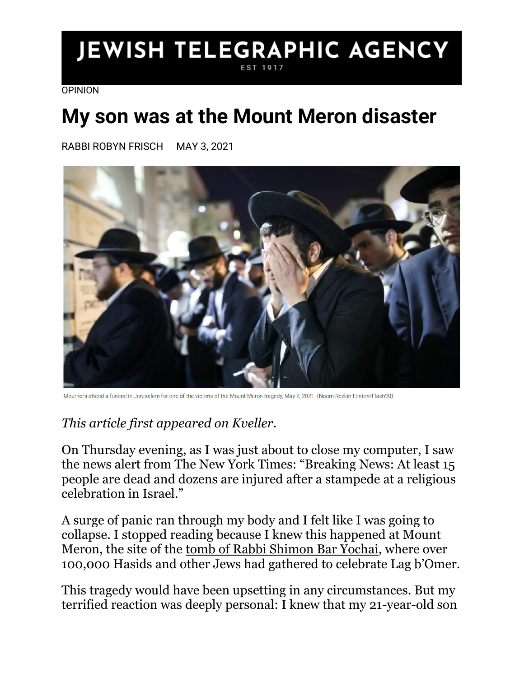## **JEWISH TELEGRAPHIC AGENCY** EST 1917

[OPINION](https://www.jta.org/category/opinion)

## **My son was at the Mount Meron disaster**

RABBI ROBYN FRISCH MAY 3, 2021



Mourners attend a funeral in Jerusalem for one of the victims of the Mount Meron tragedy. May 2, 2021, (Noam Reykin Fenton/Flash90)

## *This article first appeared on [Kveller.](https://www.kveller.com/my-son-was-at-the-mount-meron-disaster/)*

On Thursday evening, as I was just about to close my computer, I saw the news alert from The New York Times: "Breaking News: At least 15 people are dead and dozens are injured after a stampede at a religious celebration in Israel."

A surge of panic ran through my body and I felt like I was going to collapse. I stopped reading because I knew this happened at Mount Meron, the site of the [tomb of Rabbi Shimon Bar Yochai,](https://www.kveller.com/this-jewish-holiday-is-all-the-rage-in-israel-heres-how-to-celebrate-it/) where over 100,000 Hasids and other Jews had gathered to celebrate Lag b'Omer.

This tragedy would have been upsetting in any circumstances. But my terrified reaction was deeply personal: I knew that my 21-year-old son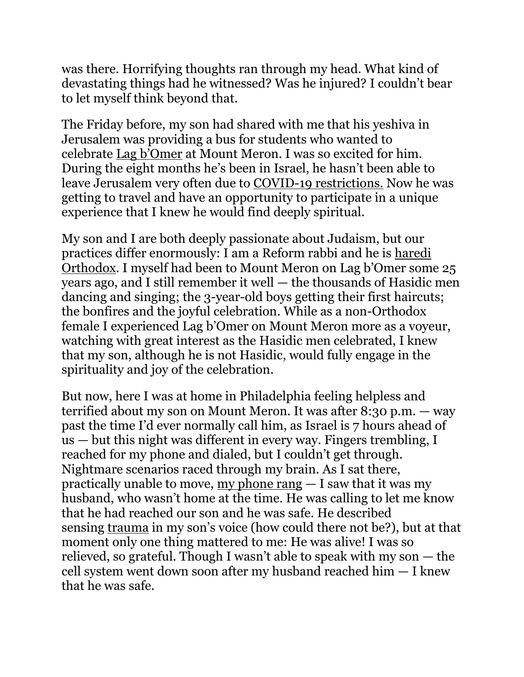was there. Horrifying thoughts ran through my head. What kind of devastating things had he witnessed? Was he injured? I couldn't bear to let myself think beyond that.

The Friday before, my son had shared with me that his yeshiva in Jerusalem was providing a bus for students who wanted to celebrate Lag b['Omer](https://www.myjewishlearning.com/article/lag-baomer/) at Mount Meron. I was so excited for him. During the eight months he's been in Israel, he hasn't been able to leave Jerusalem very often due to [COVID-19 restrictions.](https://www.kveller.com/my-orthodox-jewish-community-needs-to-do-better-when-it-comes-to-taking-covid-19-seriously/) Now he was getting to travel and have an opportunity to participate in a unique experience that I knew he would find deeply spiritual.

My son and I are both deeply passionate about Judaism, but our practices differ enormously: I am a Reform rabbi and he is [haredi](https://www.myjewishlearning.com/article/haredim-charedim/)  [Orthodox](https://www.myjewishlearning.com/article/haredim-charedim/). I myself had been to Mount Meron on Lag b'Omer some 25 years ago, and I still remember it well — the thousands of Hasidic men dancing and singing; the 3-year-old boys getting their first haircuts; the bonfires and the joyful celebration. While as a non-Orthodox female I experienced Lag b'Omer on Mount Meron more as a voyeur, watching with great interest as the Hasidic men celebrated, I knew that my son, although he is not Hasidic, would fully engage in the spirituality and joy of the celebration.

But now, here I was at home in Philadelphia feeling helpless and terrified about my son on Mount Meron. It was after 8:30 p.m. — way past the time I'd ever normally call him, as Israel is 7 hours ahead of us — but this night was different in every way. Fingers trembling, I reached for my phone and dialed, but I couldn't get through. Nightmare scenarios raced through my brain. As I sat there, practically unable to move, [my phone rang](https://www.kveller.com/getting-a-phone-call-from-my-kids-school-is-the-worst/) — I saw that it was my husband, who wasn't home at the time. He was calling to let me know that he had reached our son and he was safe. He described sensing [trauma](https://www.kveller.com/after-a-traumatic-birth-experience-i-have-a-new-outlook-on-gratitude/) in my son's voice (how could there not be?), but at that moment only one thing mattered to me: He was alive! I was so relieved, so grateful. Though I wasn't able to speak with my son — the cell system went down soon after my husband reached him — I knew that he was safe.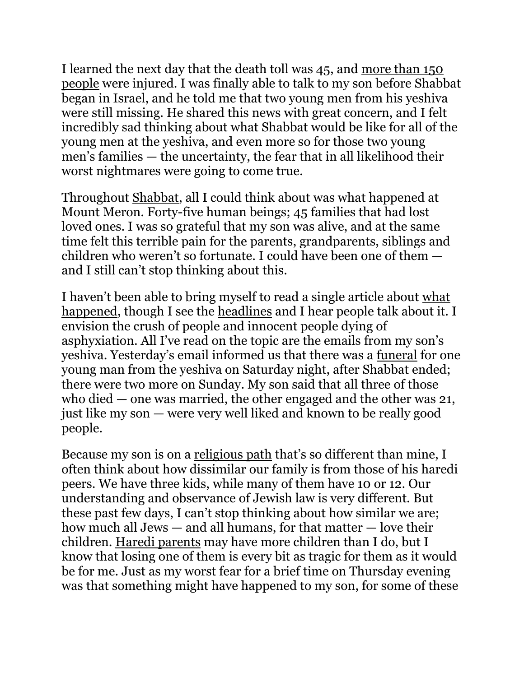I learned the next day that the death toll was 45, and [more than 150](https://www.jta.org/2021/04/29/israel/at-least-45-people-dead-in-stampede-at-mass-lag-bomer-holiday-celebration-in-israel)  [people](https://www.jta.org/2021/04/29/israel/at-least-45-people-dead-in-stampede-at-mass-lag-bomer-holiday-celebration-in-israel) were injured. I was finally able to talk to my son before Shabbat began in Israel, and he told me that two young men from his yeshiva were still missing. He shared this news with great concern, and I felt incredibly sad thinking about what Shabbat would be like for all of the young men at the yeshiva, and even more so for those two young men's families — the uncertainty, the fear that in all likelihood their worst nightmares were going to come true.

Throughout [Shabbat,](https://www.amazon.com/Kveller-Shabbat-Guide-families-meaning/dp/B08LT8MY8H) all I could think about was what happened at Mount Meron. Forty-five human beings; 45 families that had lost loved ones. I was so grateful that my son was alive, and at the same time felt this terrible pain for the parents, grandparents, siblings and children who weren't so fortunate. I could have been one of them and I still can't stop thinking about this.

I haven't been able to bring myself to read a single article about [what](https://www.jta.org/2021/04/30/united-states/at-least-6-americans-including-3-teenagers-among-victims-in-israeli-stampede)  [happened,](https://www.jta.org/2021/04/30/united-states/at-least-6-americans-including-3-teenagers-among-victims-in-israeli-stampede) though I see the [headlines](https://www.jta.org/2021/04/30/israel/as-israel-buries-mount-meron-victims-attention-turns-to-what-allowed-deadly-stampede-to-occur) and I hear people talk about it. I envision the crush of people and innocent people dying of asphyxiation. All I've read on the topic are the emails from my son's yeshiva. Yesterday's email informed us that there was a [funeral](https://www.kveller.com/the-heartbreaking-loneliness-of-jewish-mourning-during-a-pandemic/) for one young man from the yeshiva on Saturday night, after Shabbat ended; there were two more on Sunday. My son said that all three of those who died — one was married, the other engaged and the other was 21, just like my son — were very well liked and known to be really good people.

Because my son is on a [religious path](https://www.kveller.com/i-was-adopted-and-converted-to-judaism-as-an-adult-turns-out-my-birth-mom-did-too/) that's so different than mine, I often think about how dissimilar our family is from those of his haredi peers. We have three kids, while many of them have 10 or 12. Our understanding and observance of Jewish law is very different. But these past few days, I can't stop thinking about how similar we are; how much all Jews — and all humans, for that matter — love their children. [Haredi parents](https://www.kveller.com/i-arranged-my-kids-jewish-marriages-heres-what-happened/) may have more children than I do, but I know that losing one of them is every bit as tragic for them as it would be for me. Just as my worst fear for a brief time on Thursday evening was that something might have happened to my son, for some of these